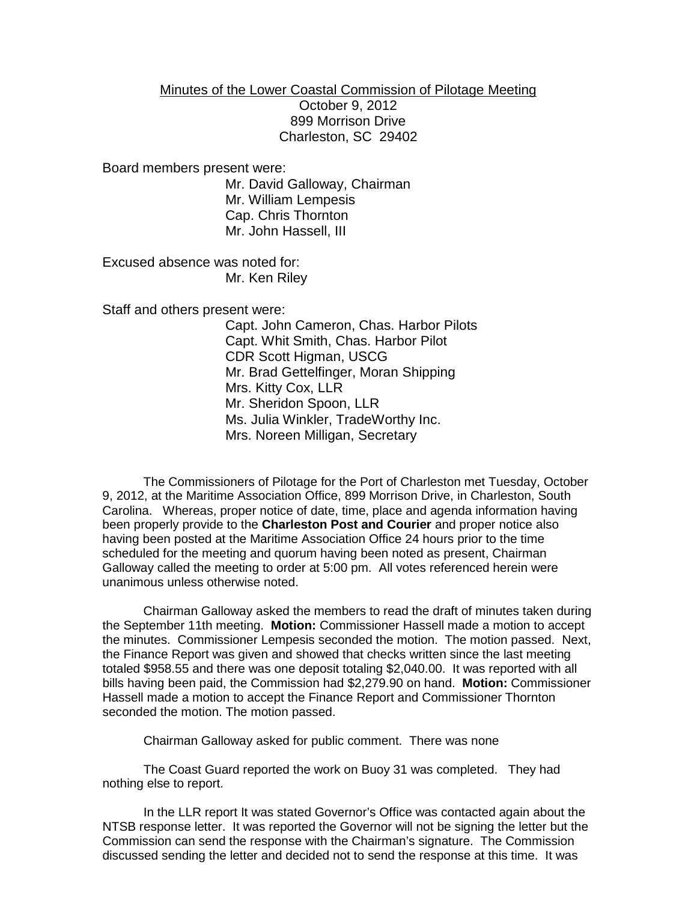## Minutes of the Lower Coastal Commission of Pilotage Meeting

October 9, 2012 899 Morrison Drive Charleston, SC 29402

Board members present were:

Mr. David Galloway, Chairman Mr. William Lempesis Cap. Chris Thornton Mr. John Hassell, III

Excused absence was noted for: Mr. Ken Riley

Staff and others present were:

Capt. John Cameron, Chas. Harbor Pilots Capt. Whit Smith, Chas. Harbor Pilot CDR Scott Higman, USCG Mr. Brad Gettelfinger, Moran Shipping Mrs. Kitty Cox, LLR Mr. Sheridon Spoon, LLR Ms. Julia Winkler, TradeWorthy Inc. Mrs. Noreen Milligan, Secretary

The Commissioners of Pilotage for the Port of Charleston met Tuesday, October 9, 2012, at the Maritime Association Office, 899 Morrison Drive, in Charleston, South Carolina. Whereas, proper notice of date, time, place and agenda information having been properly provide to the **Charleston Post and Courier** and proper notice also having been posted at the Maritime Association Office 24 hours prior to the time scheduled for the meeting and quorum having been noted as present, Chairman Galloway called the meeting to order at 5:00 pm. All votes referenced herein were unanimous unless otherwise noted.

Chairman Galloway asked the members to read the draft of minutes taken during the September 11th meeting. **Motion:** Commissioner Hassell made a motion to accept the minutes. Commissioner Lempesis seconded the motion. The motion passed. Next, the Finance Report was given and showed that checks written since the last meeting totaled \$958.55 and there was one deposit totaling \$2,040.00. It was reported with all bills having been paid, the Commission had \$2,279.90 on hand. **Motion:** Commissioner Hassell made a motion to accept the Finance Report and Commissioner Thornton seconded the motion. The motion passed.

Chairman Galloway asked for public comment. There was none

The Coast Guard reported the work on Buoy 31 was completed. They had nothing else to report.

In the LLR report It was stated Governor's Office was contacted again about the NTSB response letter. It was reported the Governor will not be signing the letter but the Commission can send the response with the Chairman's signature. The Commission discussed sending the letter and decided not to send the response at this time. It was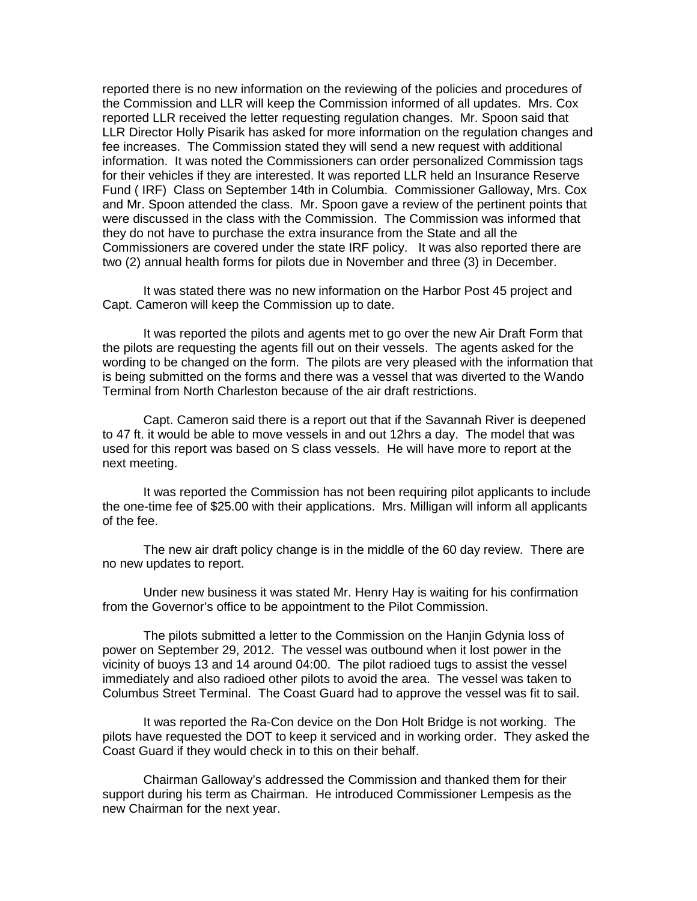reported there is no new information on the reviewing of the policies and procedures of the Commission and LLR will keep the Commission informed of all updates. Mrs. Cox reported LLR received the letter requesting regulation changes. Mr. Spoon said that LLR Director Holly Pisarik has asked for more information on the regulation changes and fee increases. The Commission stated they will send a new request with additional information. It was noted the Commissioners can order personalized Commission tags for their vehicles if they are interested. It was reported LLR held an Insurance Reserve Fund ( IRF) Class on September 14th in Columbia. Commissioner Galloway, Mrs. Cox and Mr. Spoon attended the class. Mr. Spoon gave a review of the pertinent points that were discussed in the class with the Commission. The Commission was informed that they do not have to purchase the extra insurance from the State and all the Commissioners are covered under the state IRF policy. It was also reported there are two (2) annual health forms for pilots due in November and three (3) in December.

It was stated there was no new information on the Harbor Post 45 project and Capt. Cameron will keep the Commission up to date.

It was reported the pilots and agents met to go over the new Air Draft Form that the pilots are requesting the agents fill out on their vessels. The agents asked for the wording to be changed on the form. The pilots are very pleased with the information that is being submitted on the forms and there was a vessel that was diverted to the Wando Terminal from North Charleston because of the air draft restrictions.

Capt. Cameron said there is a report out that if the Savannah River is deepened to 47 ft. it would be able to move vessels in and out 12hrs a day. The model that was used for this report was based on S class vessels. He will have more to report at the next meeting.

It was reported the Commission has not been requiring pilot applicants to include the one-time fee of \$25.00 with their applications. Mrs. Milligan will inform all applicants of the fee.

The new air draft policy change is in the middle of the 60 day review. There are no new updates to report.

Under new business it was stated Mr. Henry Hay is waiting for his confirmation from the Governor's office to be appointment to the Pilot Commission.

The pilots submitted a letter to the Commission on the Hanjin Gdynia loss of power on September 29, 2012. The vessel was outbound when it lost power in the vicinity of buoys 13 and 14 around 04:00. The pilot radioed tugs to assist the vessel immediately and also radioed other pilots to avoid the area. The vessel was taken to Columbus Street Terminal. The Coast Guard had to approve the vessel was fit to sail.

It was reported the Ra-Con device on the Don Holt Bridge is not working. The pilots have requested the DOT to keep it serviced and in working order. They asked the Coast Guard if they would check in to this on their behalf.

Chairman Galloway's addressed the Commission and thanked them for their support during his term as Chairman. He introduced Commissioner Lempesis as the new Chairman for the next year.